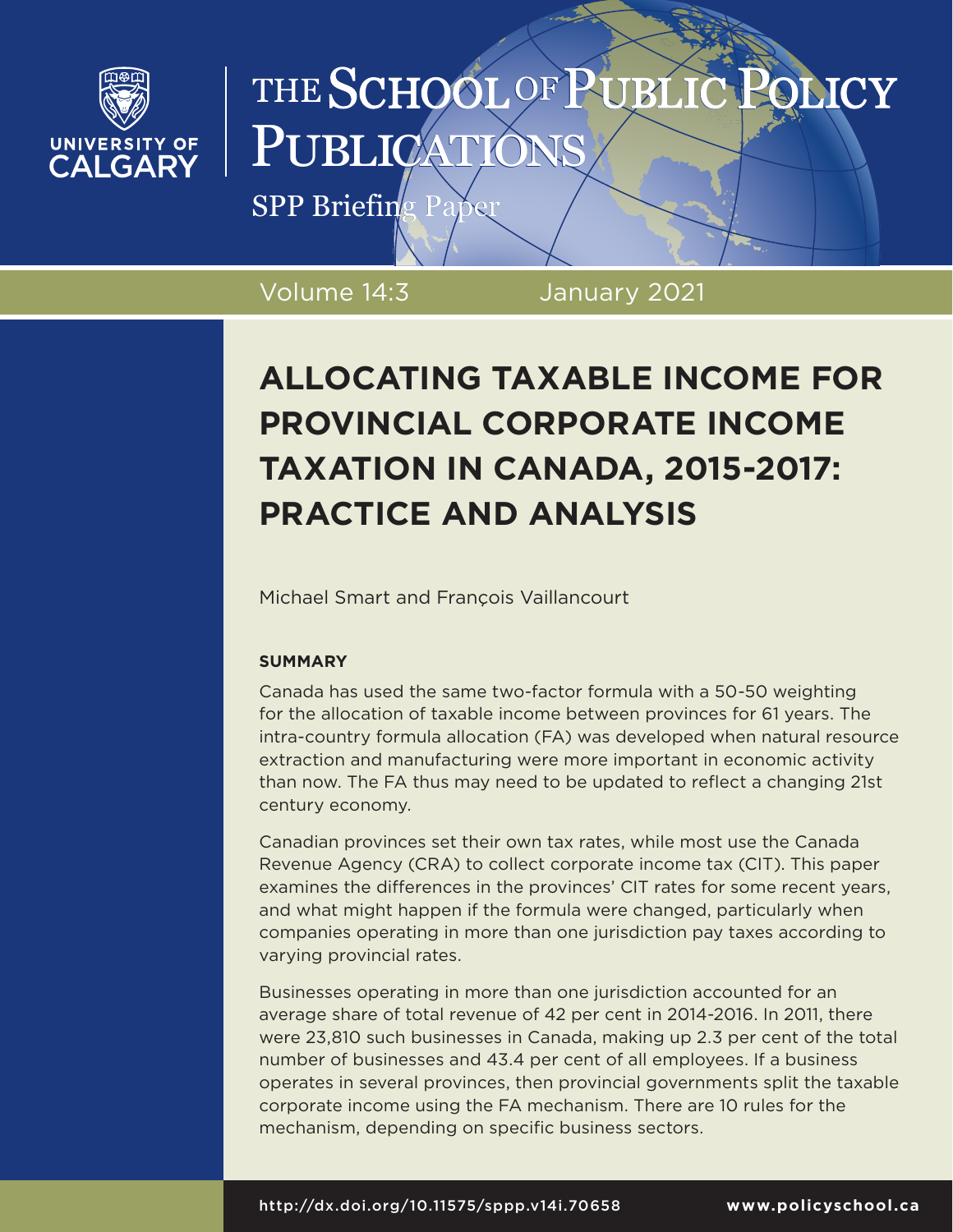

# THE SCHOOL OF PUBLIC **OLICY** PUBLICATI

SPP Briefing Paper

Volume 14:3 January 2021

# **ALLOCATING TAXABLE INCOME FOR PROVINCIAL CORPORATE INCOME TAXATION IN CANADA, 2015-2017: PRACTICE AND ANALYSIS**

Michael Smart and François Vaillancourt

## **SUMMARY**

Canada has used the same two-factor formula with a 50-50 weighting for the allocation of taxable income between provinces for 61 years. The intra-country formula allocation (FA) was developed when natural resource extraction and manufacturing were more important in economic activity than now. The FA thus may need to be updated to reflect a changing 21st century economy.

Canadian provinces set their own tax rates, while most use the Canada Revenue Agency (CRA) to collect corporate income tax (CIT). This paper examines the differences in the provinces' CIT rates for some recent years, and what might happen if the formula were changed, particularly when companies operating in more than one jurisdiction pay taxes according to varying provincial rates.

Businesses operating in more than one jurisdiction accounted for an average share of total revenue of 42 per cent in 2014-2016. In 2011, there were 23,810 such businesses in Canada, making up 2.3 per cent of the total number of businesses and 43.4 per cent of all employees. If a business operates in several provinces, then provincial governments split the taxable corporate income using the FA mechanism. There are 10 rules for the mechanism, depending on specific business sectors.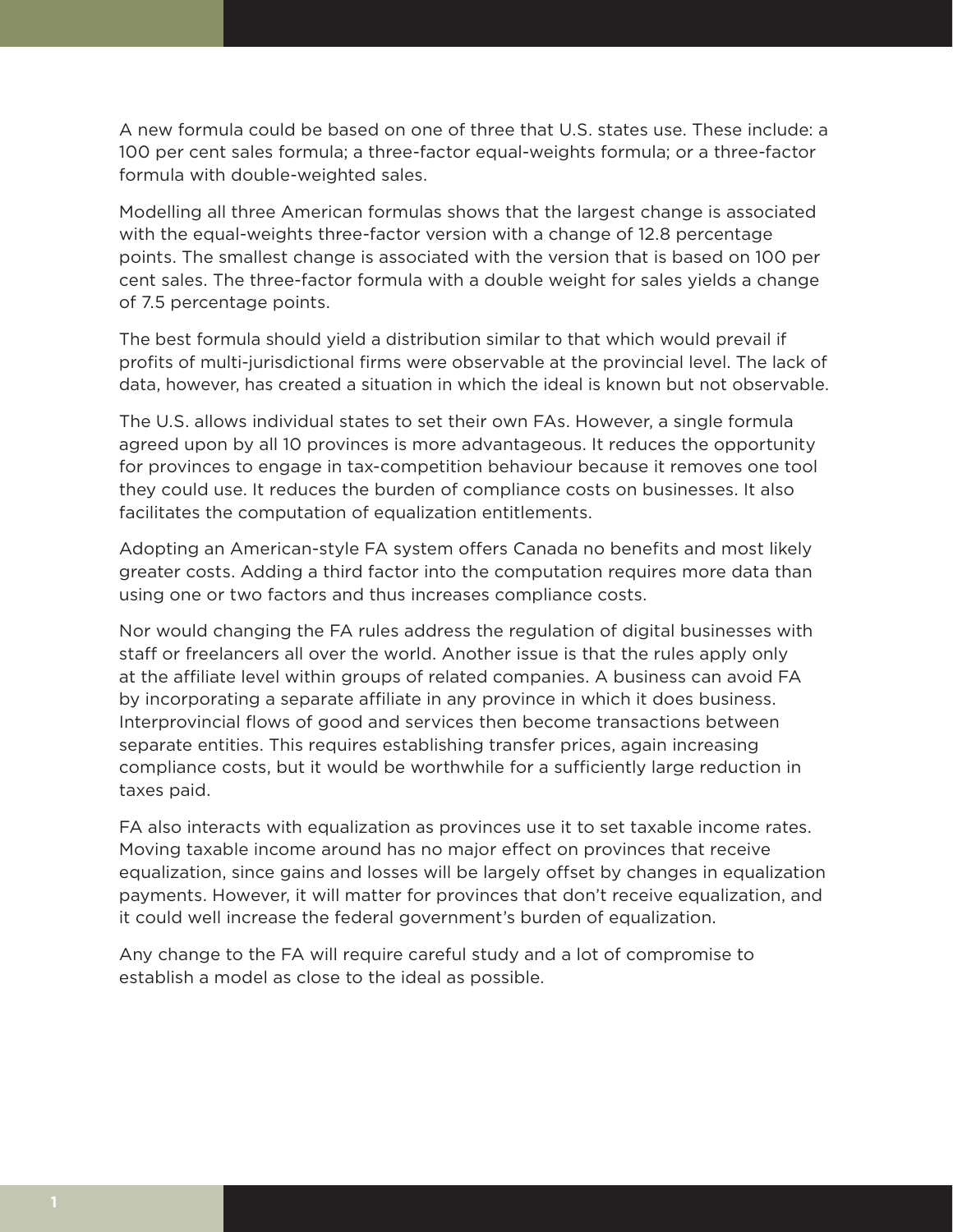A new formula could be based on one of three that U.S. states use. These include: a 100 per cent sales formula; a three-factor equal-weights formula; or a three-factor formula with double-weighted sales.

Modelling all three American formulas shows that the largest change is associated with the equal-weights three-factor version with a change of 12.8 percentage points. The smallest change is associated with the version that is based on 100 per cent sales. The three-factor formula with a double weight for sales yields a change of 7.5 percentage points.

The best formula should yield a distribution similar to that which would prevail if profits of multi-jurisdictional firms were observable at the provincial level. The lack of data, however, has created a situation in which the ideal is known but not observable.

The U.S. allows individual states to set their own FAs. However, a single formula agreed upon by all 10 provinces is more advantageous. It reduces the opportunity for provinces to engage in tax-competition behaviour because it removes one tool they could use. It reduces the burden of compliance costs on businesses. It also facilitates the computation of equalization entitlements.

Adopting an American-style FA system offers Canada no benefits and most likely greater costs. Adding a third factor into the computation requires more data than using one or two factors and thus increases compliance costs.

Nor would changing the FA rules address the regulation of digital businesses with staff or freelancers all over the world. Another issue is that the rules apply only at the affiliate level within groups of related companies. A business can avoid FA by incorporating a separate affiliate in any province in which it does business. Interprovincial flows of good and services then become transactions between separate entities. This requires establishing transfer prices, again increasing compliance costs, but it would be worthwhile for a sufficiently large reduction in taxes paid.

FA also interacts with equalization as provinces use it to set taxable income rates. Moving taxable income around has no major effect on provinces that receive equalization, since gains and losses will be largely offset by changes in equalization payments. However, it will matter for provinces that don't receive equalization, and it could well increase the federal government's burden of equalization.

Any change to the FA will require careful study and a lot of compromise to establish a model as close to the ideal as possible.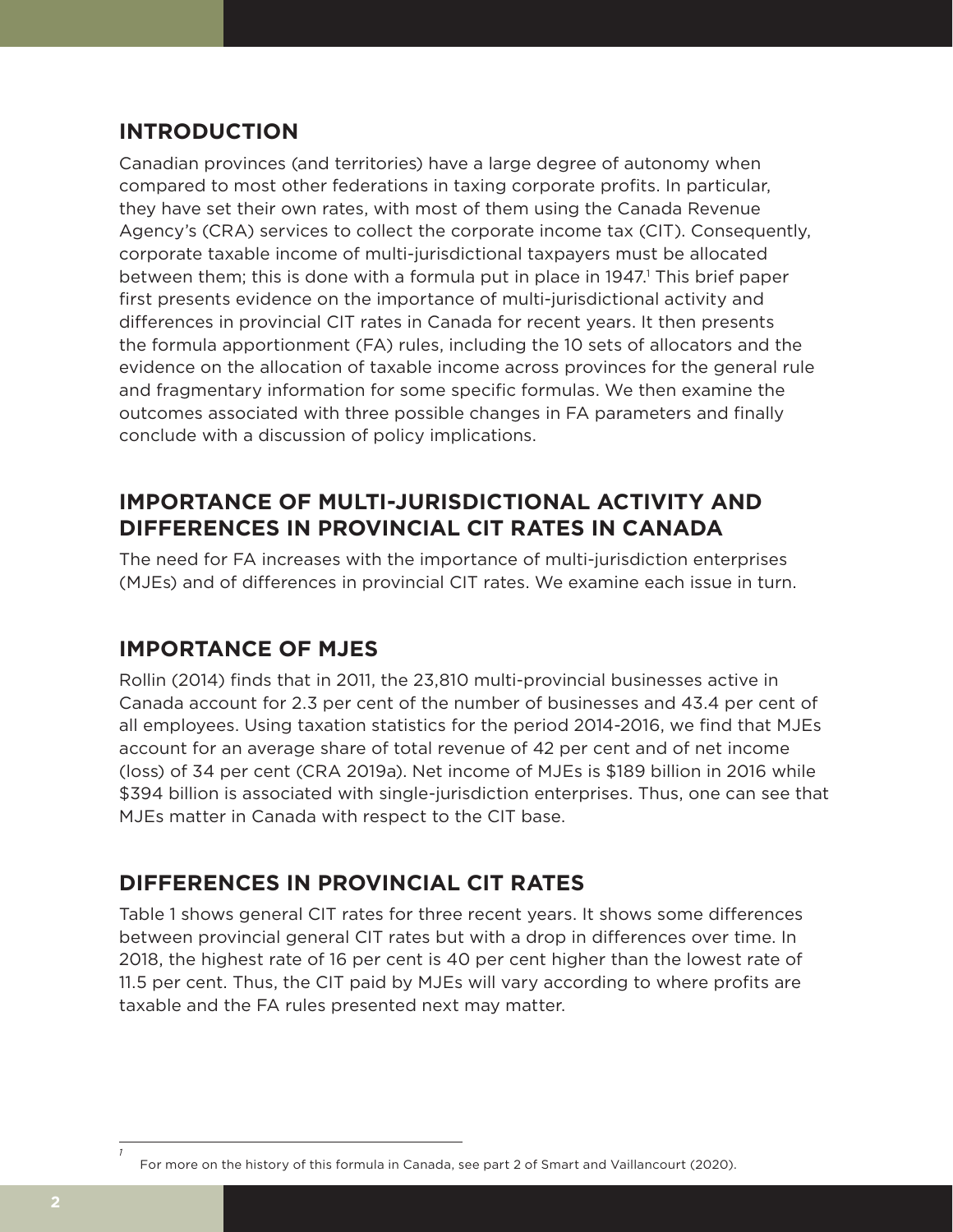## **INTRODUCTION**

Canadian provinces (and territories) have a large degree of autonomy when compared to most other federations in taxing corporate profits. In particular, they have set their own rates, with most of them using the Canada Revenue Agency's (CRA) services to collect the corporate income tax (CIT). Consequently, corporate taxable income of multi-jurisdictional taxpayers must be allocated between them; this is done with a formula put in place in 1947.<sup>1</sup> This brief paper first presents evidence on the importance of multi-jurisdictional activity and differences in provincial CIT rates in Canada for recent years. It then presents the formula apportionment (FA) rules, including the 10 sets of allocators and the evidence on the allocation of taxable income across provinces for the general rule and fragmentary information for some specific formulas. We then examine the outcomes associated with three possible changes in FA parameters and finally conclude with a discussion of policy implications.

# **IMPORTANCE OF MULTI-JURISDICTIONAL ACTIVITY AND DIFFERENCES IN PROVINCIAL CIT RATES IN CANADA**

The need for FA increases with the importance of multi-jurisdiction enterprises (MJEs) and of differences in provincial CIT rates. We examine each issue in turn.

# **IMPORTANCE OF MJES**

Rollin (2014) finds that in 2011, the 23,810 multi-provincial businesses active in Canada account for 2.3 per cent of the number of businesses and 43.4 per cent of all employees. Using taxation statistics for the period 2014-2016, we find that MJEs account for an average share of total revenue of 42 per cent and of net income (loss) of 34 per cent (CRA 2019a). Net income of MJEs is \$189 billion in 2016 while \$394 billion is associated with single-jurisdiction enterprises. Thus, one can see that MJEs matter in Canada with respect to the CIT base.

# **DIFFERENCES IN PROVINCIAL CIT RATES**

Table 1 shows general CIT rates for three recent years. It shows some differences between provincial general CIT rates but with a drop in differences over time. In 2018, the highest rate of 16 per cent is 40 per cent higher than the lowest rate of 11.5 per cent. Thus, the CIT paid by MJEs will vary according to where profits are taxable and the FA rules presented next may matter.

*1*

For more on the history of this formula in Canada, see part 2 of Smart and Vaillancourt (2020).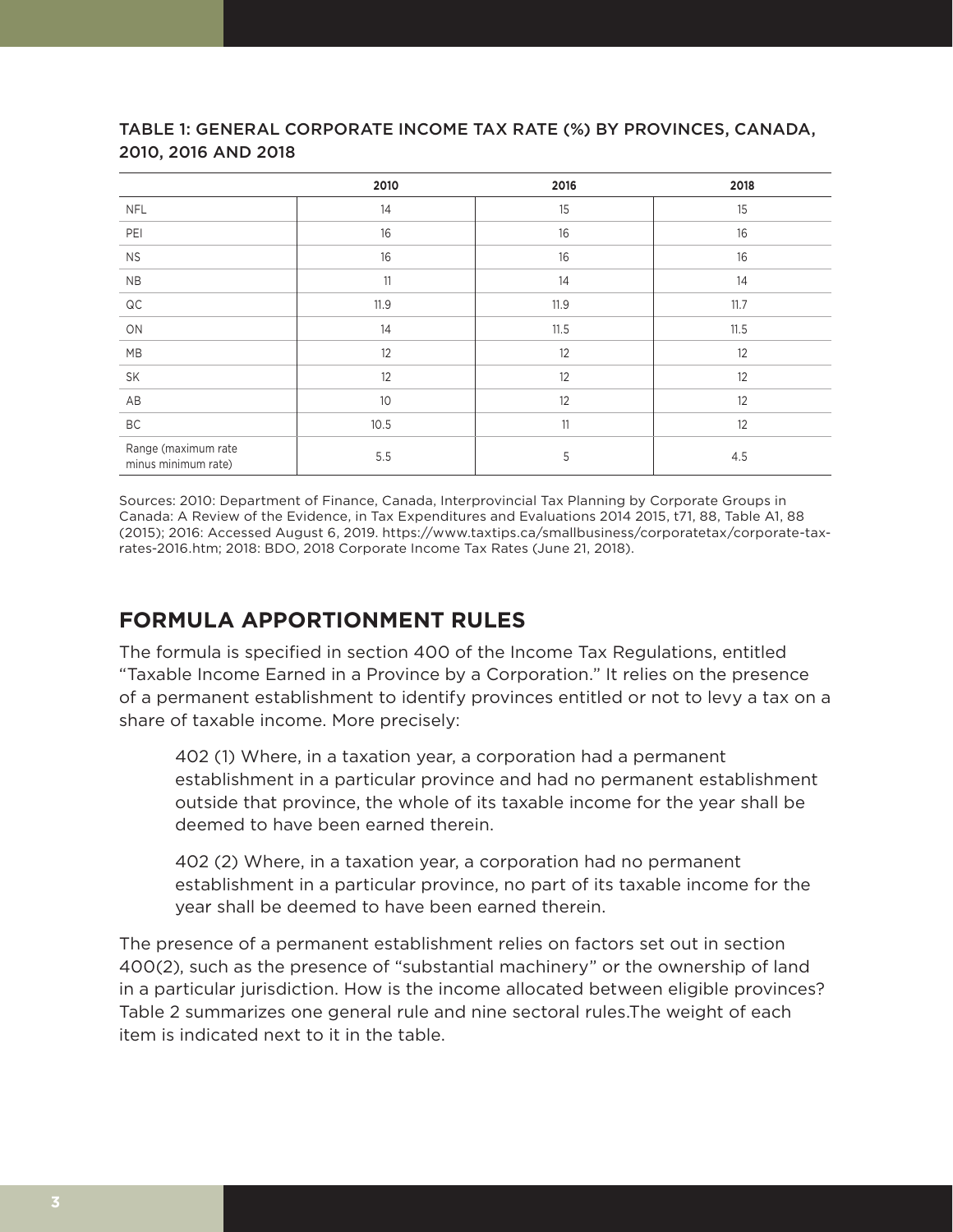## TABLE 1: GENERAL CORPORATE INCOME TAX RATE (%) BY PROVINCES, CANADA, 2010, 2016 AND 2018

|                                            | 2010 | 2016 | 2018 |
|--------------------------------------------|------|------|------|
| <b>NFL</b>                                 | 14   | 15   | 15   |
| PEI                                        | 16   | 16   | 16   |
| <b>NS</b>                                  | 16   | 16   | 16   |
| <b>NB</b>                                  | 11   | 14   | 14   |
| $\mathsf{QC}$                              | 11.9 | 11.9 | 11.7 |
| ON                                         | 14   | 11.5 | 11.5 |
| MB                                         | 12   | 12   | 12   |
| SK                                         | 12   | 12   | 12   |
| AB                                         | 10   | 12   | 12   |
| BC                                         | 10.5 | 11   | 12   |
| Range (maximum rate<br>minus minimum rate) | 5.5  | 5    | 4.5  |

Sources: 2010: Department of Finance, Canada, Interprovincial Tax Planning by Corporate Groups in Canada: A Review of the Evidence, in Tax Expenditures and Evaluations 2014 2015, t71, 88, Table A1, 88 (2015); 2016: Accessed August 6, 2019. [https://www.taxtips.ca/smallbusiness/corporatetax/corporate-tax](https://www.taxtips.ca/smallbusiness/corporatetax/corporate-tax-rates-2016.htm)[rates-2016.htm](https://www.taxtips.ca/smallbusiness/corporatetax/corporate-tax-rates-2016.htm); 2018: BDO, 2018 Corporate Income Tax Rates (June 21, 2018).

# **FORMULA APPORTIONMENT RULES**

The formula is specified in section 400 of the Income Tax Regulations, entitled "Taxable Income Earned in a Province by a Corporation." It relies on the presence of a permanent establishment to identify provinces entitled or not to levy a tax on a share of taxable income. More precisely:

402 (1) Where, in a taxation year, a corporation had a permanent establishment in a particular province and had no permanent establishment outside that province, the whole of its taxable income for the year shall be deemed to have been earned therein.

402 (2) Where, in a taxation year, a corporation had no permanent establishment in a particular province, no part of its taxable income for the year shall be deemed to have been earned therein.

The presence of a permanent establishment relies on factors set out in section 400(2), such as the presence of "substantial machinery" or the ownership of land in a particular jurisdiction. How is the income allocated between eligible provinces? Table 2 summarizes one general rule and nine sectoral rules.The weight of each item is indicated next to it in the table.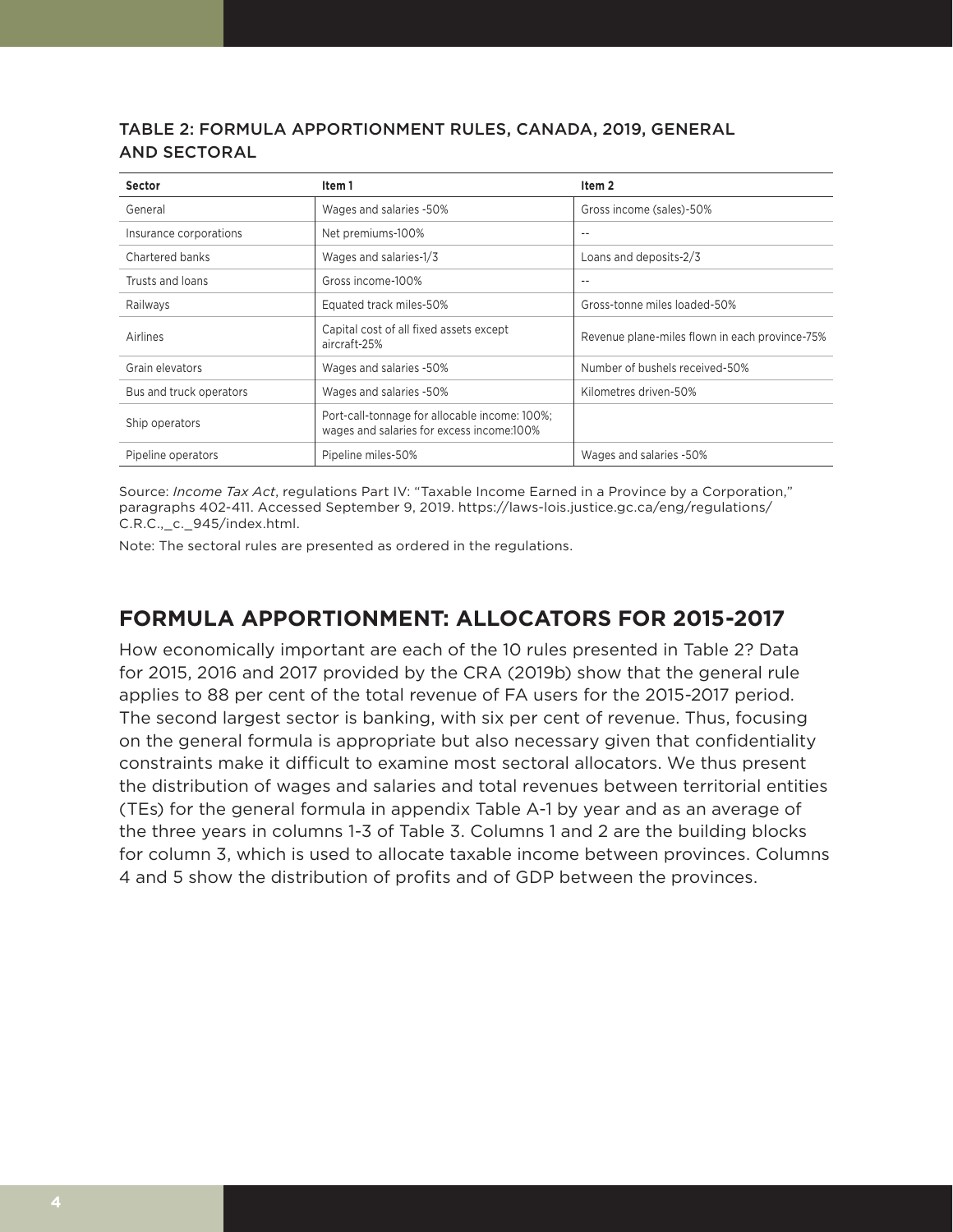## TABLE 2: FORMULA APPORTIONMENT RULES, CANADA, 2019, GENERAL AND SECTORAL

| <b>Sector</b>           | ltem 1                                                                                     | Item <sub>2</sub>                              |
|-------------------------|--------------------------------------------------------------------------------------------|------------------------------------------------|
| General                 | Wages and salaries -50%                                                                    | Gross income (sales)-50%                       |
| Insurance corporations  | Net premiums-100%                                                                          | $- -$                                          |
| Chartered banks         | Wages and salaries-1/3                                                                     | Loans and deposits-2/3                         |
| Trusts and loans        | Gross income-100%                                                                          | $\qquad \qquad -$                              |
| Railways                | Equated track miles-50%                                                                    | Gross-tonne miles loaded-50%                   |
| Airlines                | Capital cost of all fixed assets except<br>aircraft-25%                                    | Revenue plane-miles flown in each province-75% |
| Grain elevators         | Wages and salaries -50%                                                                    | Number of bushels received-50%                 |
| Bus and truck operators | Wages and salaries -50%                                                                    | Kilometres driven-50%                          |
| Ship operators          | Port-call-tonnage for allocable income: 100%;<br>wages and salaries for excess income:100% |                                                |
| Pipeline operators      | Pipeline miles-50%                                                                         | Wages and salaries -50%                        |

Source: *Income Tax Act*, regulations Part IV: "Taxable Income Earned in a Province by a Corporation," paragraphs 402-411. Accessed September 9, 2019. [https://laws-lois.justice.gc.ca/eng/regulations/](https://laws-lois.justice.gc.ca/eng/regulations/C.R.C.,_c._945/index.html) [C.R.C.,\\_c.\\_945/index.html.](https://laws-lois.justice.gc.ca/eng/regulations/C.R.C.,_c._945/index.html)

Note: The sectoral rules are presented as ordered in the regulations.

# **FORMULA APPORTIONMENT: ALLOCATORS FOR 2015-2017**

How economically important are each of the 10 rules presented in Table 2? Data for 2015, 2016 and 2017 provided by the CRA (2019b) show that the general rule applies to 88 per cent of the total revenue of FA users for the 2015-2017 period. The second largest sector is banking, with six per cent of revenue. Thus, focusing on the general formula is appropriate but also necessary given that confidentiality constraints make it difficult to examine most sectoral allocators. We thus present the distribution of wages and salaries and total revenues between territorial entities (TEs) for the general formula in appendix Table A-1 by year and as an average of the three years in columns 1-3 of Table 3. Columns 1 and 2 are the building blocks for column 3, which is used to allocate taxable income between provinces. Columns 4 and 5 show the distribution of profits and of GDP between the provinces.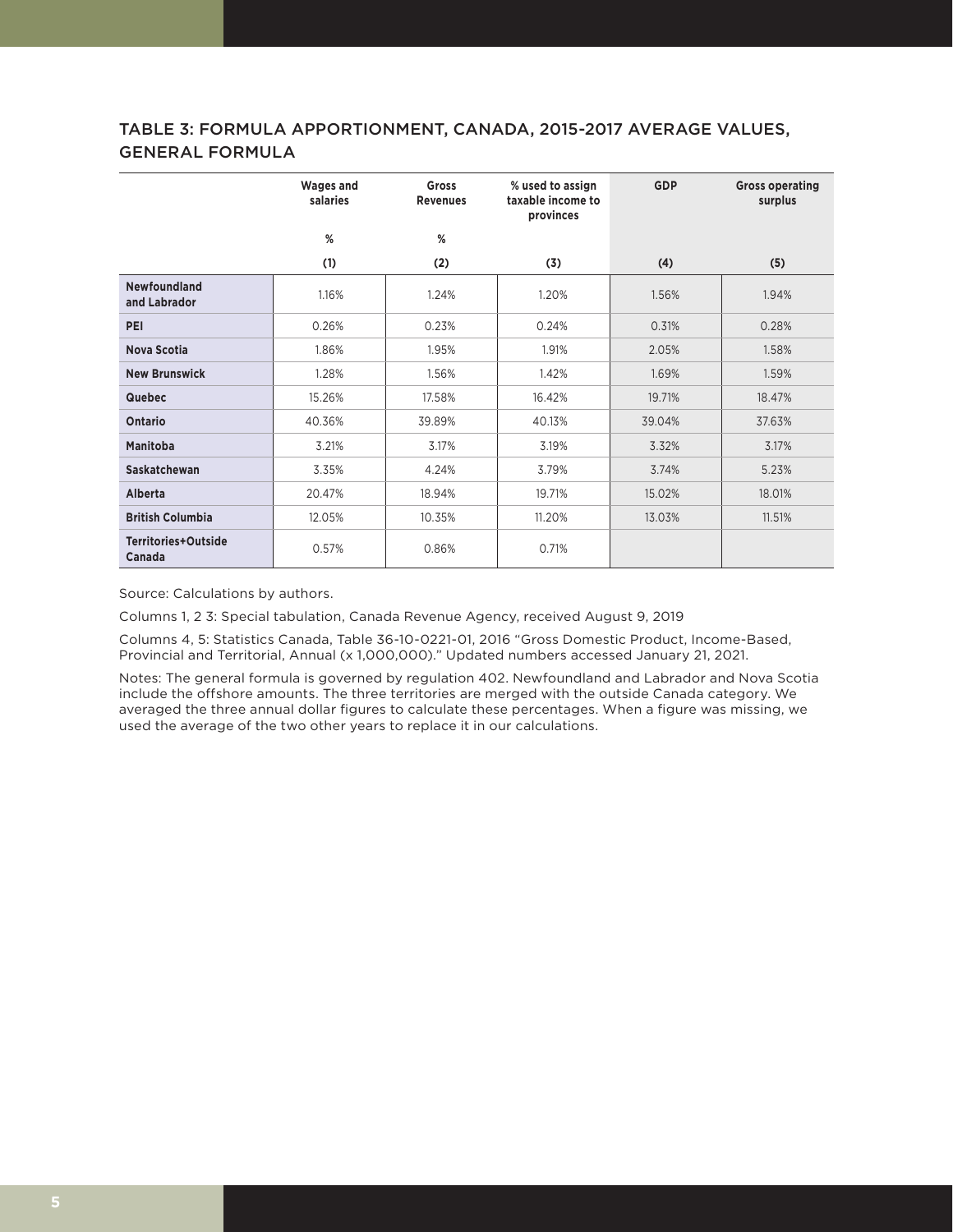## TABLE 3: FORMULA APPORTIONMENT, CANADA, 2015-2017 AVERAGE VALUES, GENERAL FORMULA

|                               | <b>Wages and</b><br>salaries | Gross<br><b>Revenues</b> | % used to assign<br>taxable income to<br>provinces | <b>GDP</b> | <b>Gross operating</b><br>surplus |
|-------------------------------|------------------------------|--------------------------|----------------------------------------------------|------------|-----------------------------------|
|                               | %                            | %                        |                                                    |            |                                   |
|                               | (1)                          | (2)                      | (3)                                                | (4)        | (5)                               |
| Newfoundland<br>and Labrador  | 1.16%                        | 1.24%                    | 1.20%                                              | 1.56%      | 1.94%                             |
| <b>PEI</b>                    | 0.26%                        | 0.23%                    | 0.24%                                              | 0.31%      | 0.28%                             |
| <b>Nova Scotia</b>            | 1.86%                        | 1.95%                    | 1.91%                                              | 2.05%      | 1.58%                             |
| <b>New Brunswick</b>          | 1.28%                        | 1.56%                    | 1.42%                                              | 1.69%      | 1.59%                             |
| <b>Quebec</b>                 | 15.26%                       | 17.58%                   | 16.42%                                             | 19.71%     | 18.47%                            |
| Ontario                       | 40.36%                       | 39.89%                   | 40.13%                                             | 39.04%     | 37.63%                            |
| <b>Manitoba</b>               | 3.21%                        | 3.17%                    | 3.19%                                              | 3.32%      | 3.17%                             |
| <b>Saskatchewan</b>           | 3.35%                        | 4.24%                    | 3.79%                                              | 3.74%      | 5.23%                             |
| <b>Alberta</b>                | 20.47%                       | 18.94%                   | 19.71%                                             | 15.02%     | 18.01%                            |
| <b>British Columbia</b>       | 12.05%                       | 10.35%                   | 11.20%                                             | 13.03%     | 11.51%                            |
| Territories+Outside<br>Canada | 0.57%                        | 0.86%                    | 0.71%                                              |            |                                   |

Source: Calculations by authors.

Columns 1, 2 3: Special tabulation, Canada Revenue Agency, received August 9, 2019

Columns 4, 5: Statistics Canada, Table 36-10-0221-01, 2016 "Gross Domestic Product, Income-Based, Provincial and Territorial, Annual (x 1,000,000)." Updated numbers accessed January 21, 2021.

Notes: The general formula is governed by regulation 402. Newfoundland and Labrador and Nova Scotia include the offshore amounts. The three territories are merged with the outside Canada category. We averaged the three annual dollar figures to calculate these percentages. When a figure was missing, we used the average of the two other years to replace it in our calculations.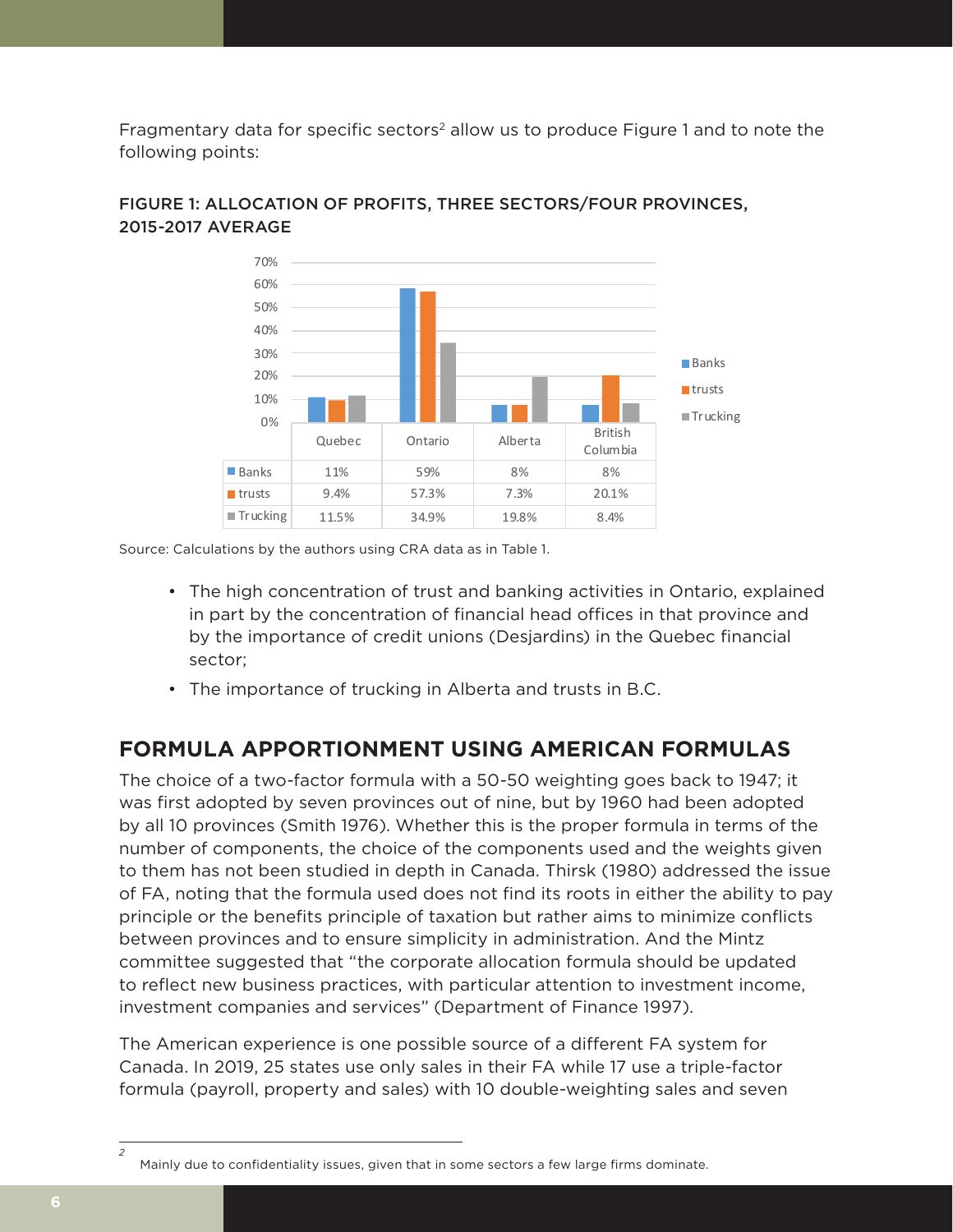Fragmentary data for specific sectors<sup>2</sup> allow us to produce Figure 1 and to note the following points:



## FIGURE 1: ALLOCATION OF PROFITS, THREE SECTORS/FOUR PROVINCES, 2015-2017 AVERAGE

Source: Calculations by the authors using CRA data as in Table 1.

- The high concentration of trust and banking activities in Ontario, explained in part by the concentration of financial head offices in that province and by the importance of credit unions (Desjardins) in the Quebec financial sector;
- The importance of trucking in Alberta and trusts in B.C.

# **FORMULA APPORTIONMENT USING AMERICAN FORMULAS**

The choice of a two-factor formula with a 50-50 weighting goes back to 1947; it was first adopted by seven provinces out of nine, but by 1960 had been adopted by all 10 provinces (Smith 1976). Whether this is the proper formula in terms of the number of components, the choice of the components used and the weights given to them has not been studied in depth in Canada. Thirsk (1980) addressed the issue of FA, noting that the formula used does not find its roots in either the ability to pay principle or the benefits principle of taxation but rather aims to minimize conflicts between provinces and to ensure simplicity in administration. And the Mintz committee suggested that "the corporate allocation formula should be updated to reflect new business practices, with particular attention to investment income, investment companies and services" (Department of Finance 1997).

The American experience is one possible source of a different FA system for Canada. In 2019, 25 states use only sales in their FA while 17 use a triple-factor formula (payroll, property and sales) with 10 double-weighting sales and seven

*2*

Mainly due to confidentiality issues, given that in some sectors a few large firms dominate.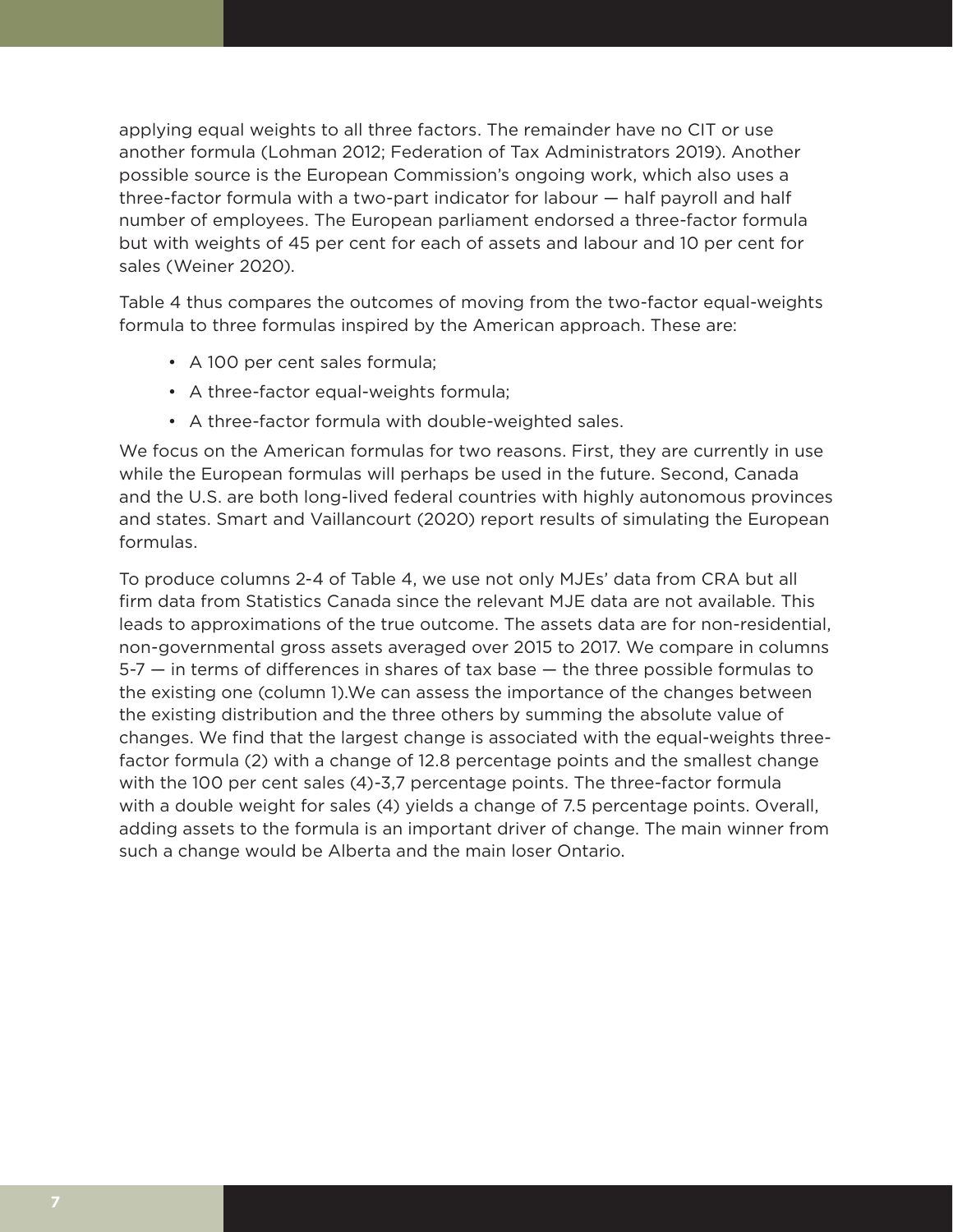applying equal weights to all three factors. The remainder have no CIT or use another formula (Lohman 2012; Federation of Tax Administrators 2019). Another possible source is the European Commission's ongoing work, which also uses a three-factor formula with a two-part indicator for labour — half payroll and half number of employees. The European parliament endorsed a three-factor formula but with weights of 45 per cent for each of assets and labour and 10 per cent for sales (Weiner 2020).

Table 4 thus compares the outcomes of moving from the two-factor equal-weights formula to three formulas inspired by the American approach. These are:

- A 100 per cent sales formula;
- A three-factor equal-weights formula;
- A three-factor formula with double-weighted sales.

We focus on the American formulas for two reasons. First, they are currently in use while the European formulas will perhaps be used in the future. Second, Canada and the U.S. are both long-lived federal countries with highly autonomous provinces and states. Smart and Vaillancourt (2020) report results of simulating the European formulas.

To produce columns 2-4 of Table 4, we use not only MJEs' data from CRA but all firm data from Statistics Canada since the relevant MJE data are not available. This leads to approximations of the true outcome. The assets data are for non-residential, non-governmental gross assets averaged over 2015 to 2017. We compare in columns 5-7 — in terms of differences in shares of tax base — the three possible formulas to the existing one (column 1).We can assess the importance of the changes between the existing distribution and the three others by summing the absolute value of changes. We find that the largest change is associated with the equal-weights threefactor formula (2) with a change of 12.8 percentage points and the smallest change with the 100 per cent sales (4)-3,7 percentage points. The three-factor formula with a double weight for sales (4) yields a change of 7.5 percentage points. Overall, adding assets to the formula is an important driver of change. The main winner from such a change would be Alberta and the main loser Ontario.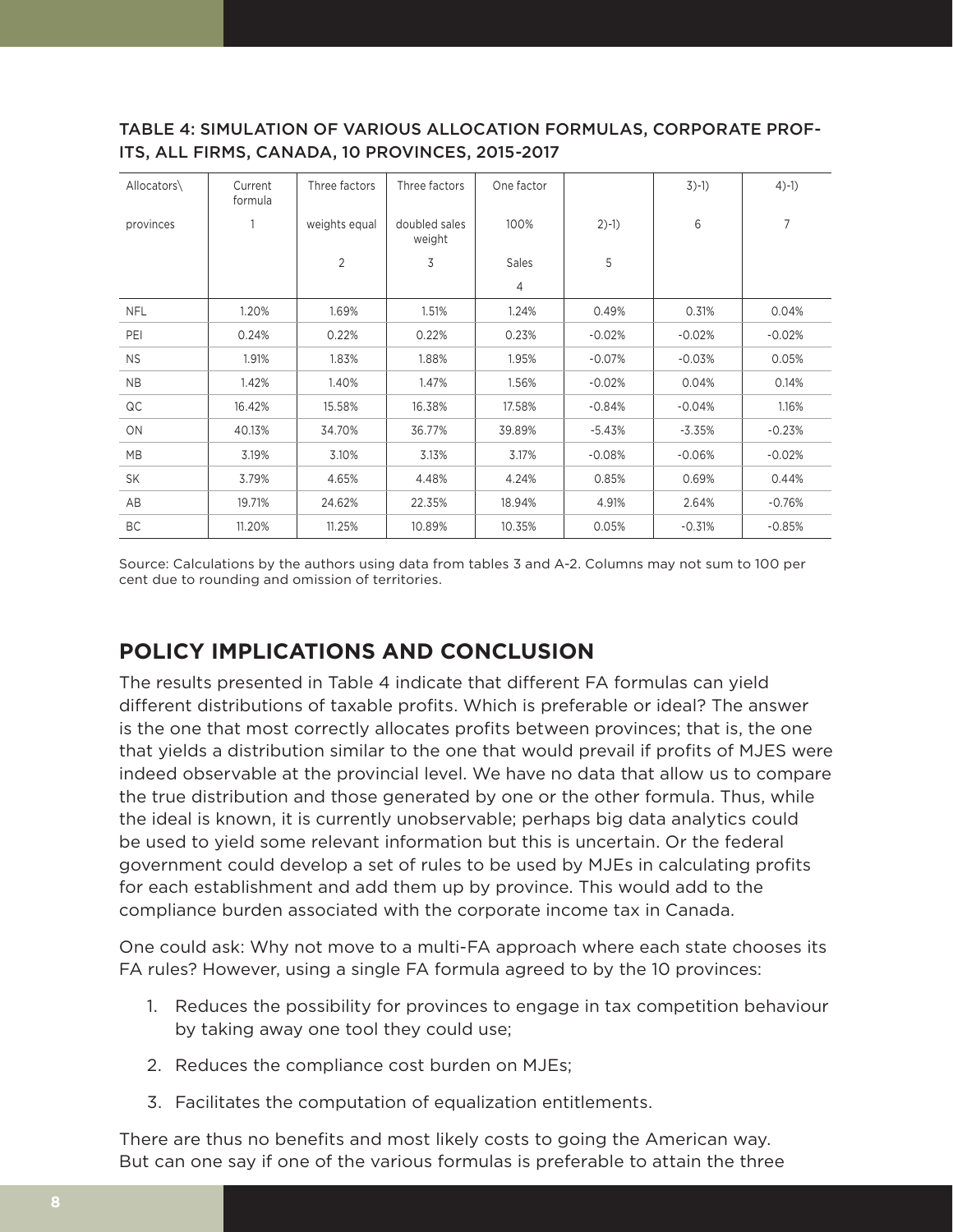| Allocators\ | Current<br>formula | Three factors  | Three factors           | One factor     |          | $3)-1)$  | $4) - 1)$      |
|-------------|--------------------|----------------|-------------------------|----------------|----------|----------|----------------|
| provinces   |                    | weights equal  | doubled sales<br>weight | 100%           | $2)-1)$  | 6        | $\overline{7}$ |
|             |                    | $\overline{2}$ | 3                       | <b>Sales</b>   | 5        |          |                |
|             |                    |                |                         | $\overline{4}$ |          |          |                |
| <b>NFL</b>  | 1.20%              | 1.69%          | 1.51%                   | 1.24%          | 0.49%    | 0.31%    | 0.04%          |
| PEI         | 0.24%              | 0.22%          | 0.22%                   | 0.23%          | $-0.02%$ | $-0.02%$ | $-0.02%$       |
| <b>NS</b>   | 1.91%              | 1.83%          | 1.88%                   | 1.95%          | $-0.07%$ | $-0.03%$ | 0.05%          |
| <b>NB</b>   | 1.42%              | 1.40%          | 1.47%                   | 1.56%          | $-0.02%$ | 0.04%    | 0.14%          |
| QC          | 16.42%             | 15.58%         | 16.38%                  | 17.58%         | $-0.84%$ | $-0.04%$ | 1.16%          |
| ON          | 40.13%             | 34.70%         | 36.77%                  | 39.89%         | $-5.43%$ | $-3.35%$ | $-0.23%$       |
| <b>MB</b>   | 3.19%              | 3.10%          | 3.13%                   | 3.17%          | $-0.08%$ | $-0.06%$ | $-0.02%$       |
| <b>SK</b>   | 3.79%              | 4.65%          | 4.48%                   | 4.24%          | 0.85%    | 0.69%    | 0.44%          |
| AB          | 19.71%             | 24.62%         | 22.35%                  | 18.94%         | 4.91%    | 2.64%    | $-0.76%$       |
| BC          | 11.20%             | 11.25%         | 10.89%                  | 10.35%         | 0.05%    | $-0.31%$ | $-0.85%$       |

## TABLE 4: SIMULATION OF VARIOUS ALLOCATION FORMULAS, CORPORATE PROF-ITS, ALL FIRMS, CANADA, 10 PROVINCES, 2015-2017

Source: Calculations by the authors using data from tables 3 and A-2. Columns may not sum to 100 per cent due to rounding and omission of territories.

# **POLICY IMPLICATIONS AND CONCLUSION**

The results presented in Table 4 indicate that different FA formulas can yield different distributions of taxable profits. Which is preferable or ideal? The answer is the one that most correctly allocates profits between provinces; that is, the one that yields a distribution similar to the one that would prevail if profits of MJES were indeed observable at the provincial level. We have no data that allow us to compare the true distribution and those generated by one or the other formula. Thus, while the ideal is known, it is currently unobservable; perhaps big data analytics could be used to yield some relevant information but this is uncertain. Or the federal government could develop a set of rules to be used by MJEs in calculating profits for each establishment and add them up by province. This would add to the compliance burden associated with the corporate income tax in Canada.

One could ask: Why not move to a multi-FA approach where each state chooses its FA rules? However, using a single FA formula agreed to by the 10 provinces:

- 1. Reduces the possibility for provinces to engage in tax competition behaviour by taking away one tool they could use;
- 2. Reduces the compliance cost burden on MJEs;
- 3. Facilitates the computation of equalization entitlements.

There are thus no benefits and most likely costs to going the American way. But can one say if one of the various formulas is preferable to attain the three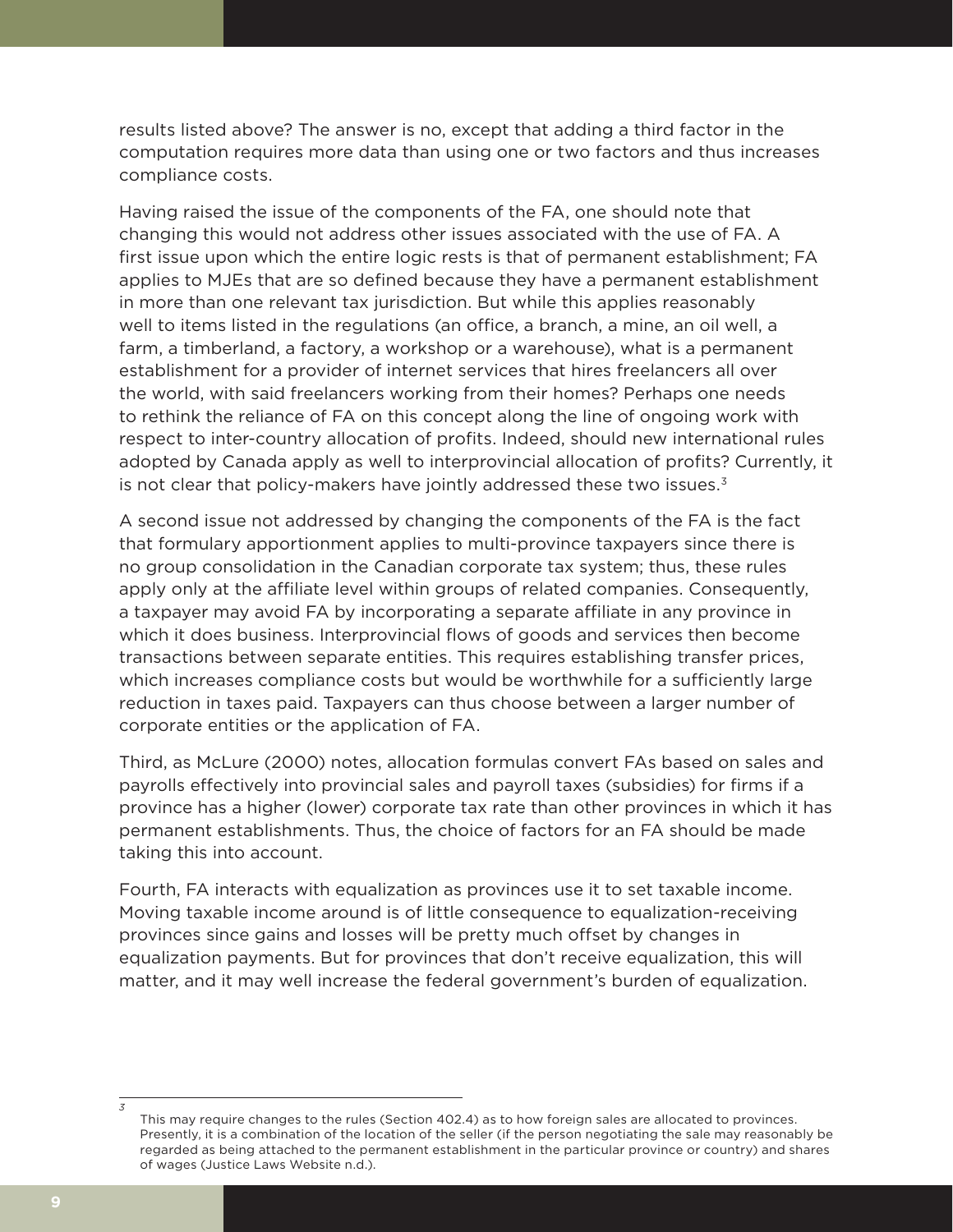results listed above? The answer is no, except that adding a third factor in the computation requires more data than using one or two factors and thus increases compliance costs.

Having raised the issue of the components of the FA, one should note that changing this would not address other issues associated with the use of FA. A first issue upon which the entire logic rests is that of permanent establishment; FA applies to MJEs that are so defined because they have a permanent establishment in more than one relevant tax jurisdiction. But while this applies reasonably well to items listed in the regulations (an office, a branch, a mine, an oil well, a farm, a timberland, a factory, a workshop or a warehouse), what is a permanent establishment for a provider of internet services that hires freelancers all over the world, with said freelancers working from their homes? Perhaps one needs to rethink the reliance of FA on this concept along the line of ongoing work with respect to inter-country allocation of profits. Indeed, should new international rules adopted by Canada apply as well to interprovincial allocation of profits? Currently, it is not clear that policy-makers have jointly addressed these two issues. $3$ 

A second issue not addressed by changing the components of the FA is the fact that formulary apportionment applies to multi-province taxpayers since there is no group consolidation in the Canadian corporate tax system; thus, these rules apply only at the affiliate level within groups of related companies. Consequently, a taxpayer may avoid FA by incorporating a separate affiliate in any province in which it does business. Interprovincial flows of goods and services then become transactions between separate entities. This requires establishing transfer prices, which increases compliance costs but would be worthwhile for a sufficiently large reduction in taxes paid. Taxpayers can thus choose between a larger number of corporate entities or the application of FA.

Third, as McLure (2000) notes, allocation formulas convert FAs based on sales and payrolls effectively into provincial sales and payroll taxes (subsidies) for firms if a province has a higher (lower) corporate tax rate than other provinces in which it has permanent establishments. Thus, the choice of factors for an FA should be made taking this into account.

Fourth, FA interacts with equalization as provinces use it to set taxable income. Moving taxable income around is of little consequence to equalization-receiving provinces since gains and losses will be pretty much offset by changes in equalization payments. But for provinces that don't receive equalization, this will matter, and it may well increase the federal government's burden of equalization.

*3*

This may require changes to the rules (Section 402.4) as to how foreign sales are allocated to provinces. Presently, it is a combination of the location of the seller (if the person negotiating the sale may reasonably be regarded as being attached to the permanent establishment in the particular province or country) and shares of wages (Justice Laws Website n.d.).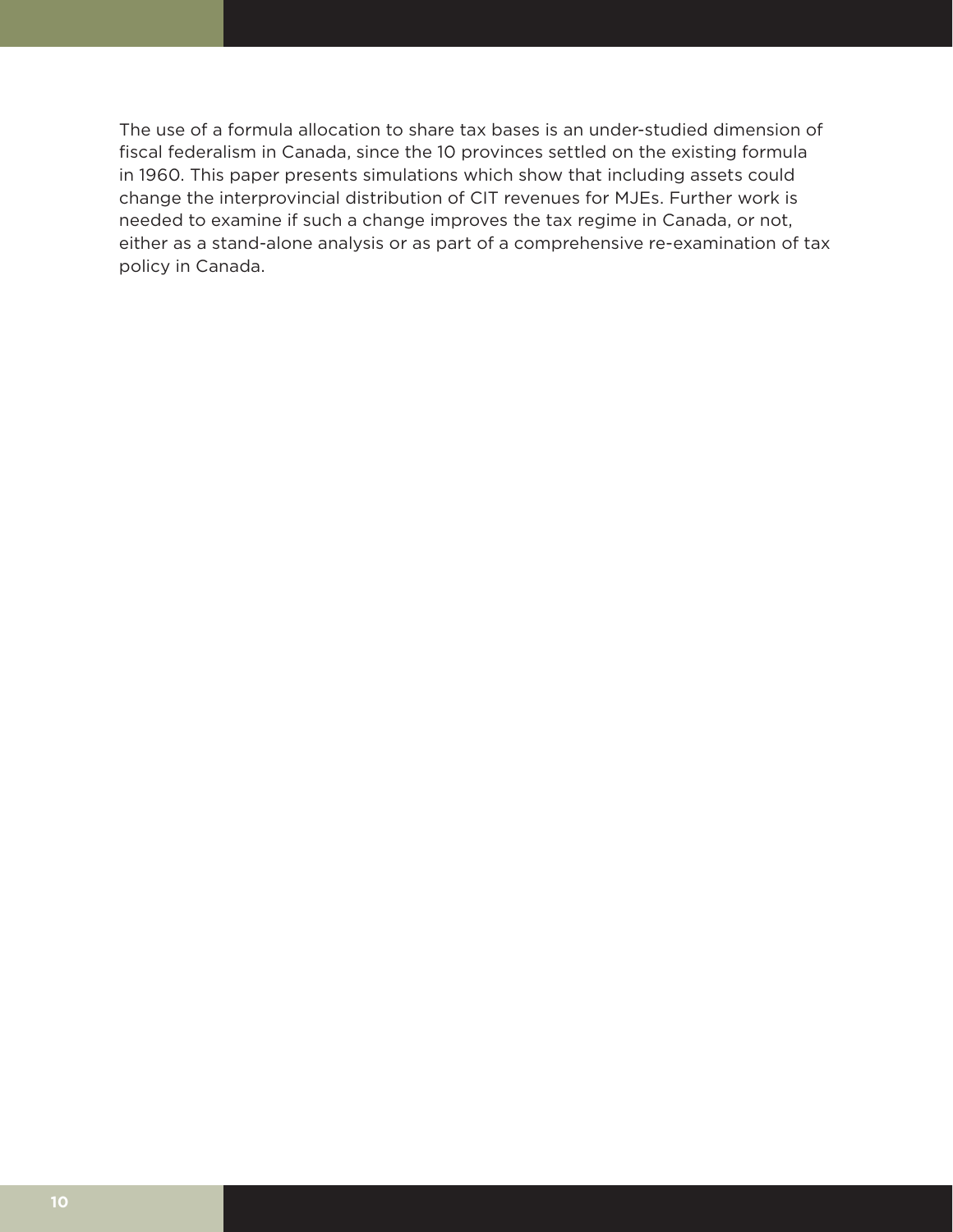The use of a formula allocation to share tax bases is an under-studied dimension of fiscal federalism in Canada, since the 10 provinces settled on the existing formula in 1960. This paper presents simulations which show that including assets could change the interprovincial distribution of CIT revenues for MJEs. Further work is needed to examine if such a change improves the tax regime in Canada, or not, either as a stand-alone analysis or as part of a comprehensive re-examination of tax policy in Canada.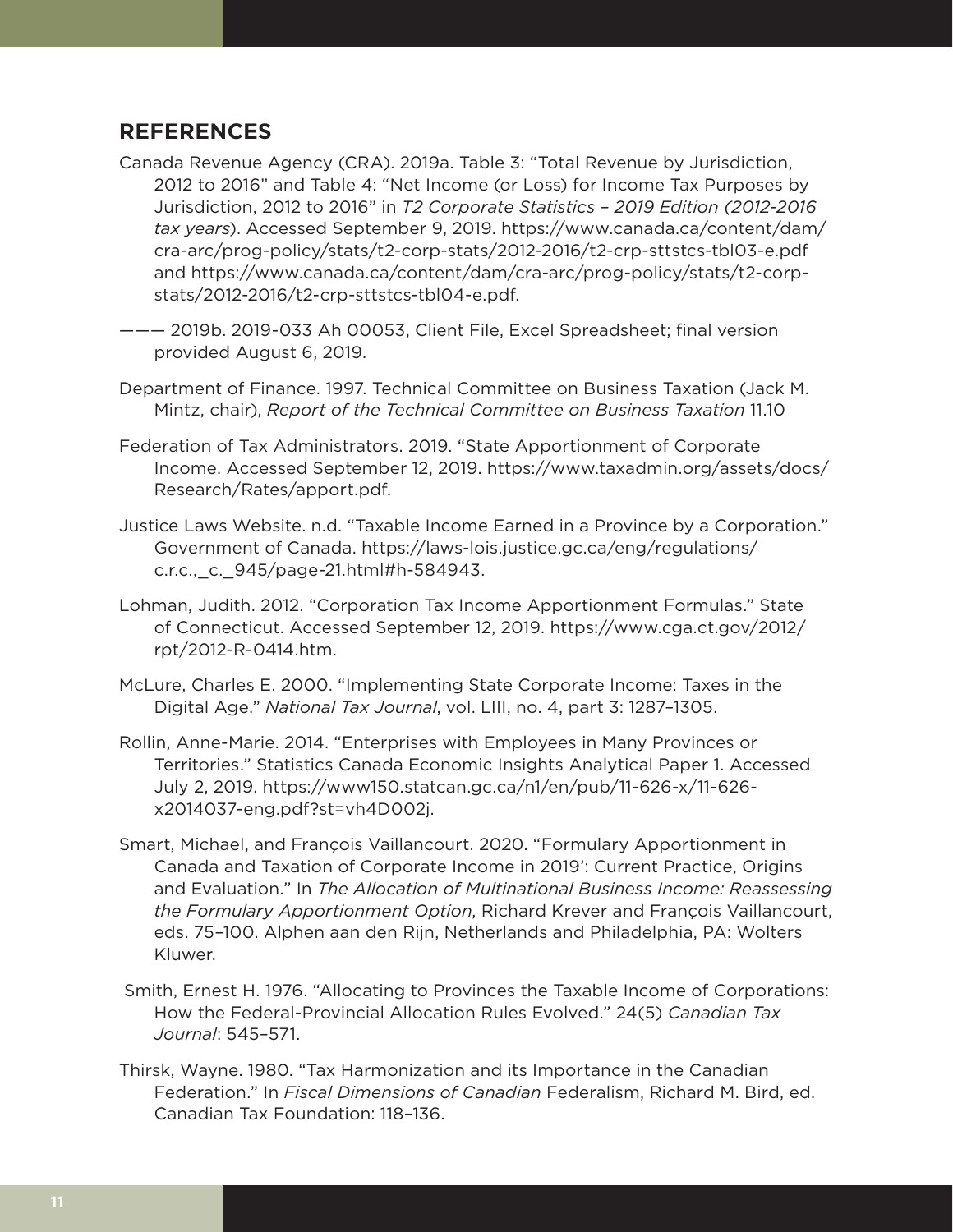### **REFERENCES**

- Canada Revenue Agency (CRA). 2019a. Table 3: "Total Revenue by Jurisdiction, 2012 to 2016" and Table 4: "Net Income (or Loss) for Income Tax Purposes by Jurisdiction, 2012 to 2016" in *T2 Corporate Statistics – 2019 Edition (2012-2016 tax years*). Accessed September 9, 2019. [https://www.canada.ca/content/dam/](https://www.canada.ca/content/dam/cra-arc/prog-policy/stats/t2-corp-stats/2012-2016/t2-crp-sttstcs-tbl03-e.pdf) [cra-arc/prog-policy/stats/t2-corp-stats/2012-2016/t2-crp-sttstcs-tbl03-e.pdf](https://www.canada.ca/content/dam/cra-arc/prog-policy/stats/t2-corp-stats/2012-2016/t2-crp-sttstcs-tbl03-e.pdf) and [https://www.canada.ca/content/dam/cra-arc/prog-policy/stats/t2-corp](https://www.canada.ca/content/dam/cra-arc/prog-policy/stats/t2-corp-stats/2012-2016/t2-crp-sttstcs-tbl04-e.pdf)[stats/2012-2016/t2-crp-sttstcs-tbl04-e.pdf](https://www.canada.ca/content/dam/cra-arc/prog-policy/stats/t2-corp-stats/2012-2016/t2-crp-sttstcs-tbl04-e.pdf).
- ——— 2019b. 2019-033 Ah 00053, Client File, Excel Spreadsheet; final version provided August 6, 2019.
- Department of Finance. 1997. Technical Committee on Business Taxation (Jack M. Mintz, chair), *Report of the Technical Committee on Business Taxation* 11.10
- Federation of Tax Administrators. 2019. "State Apportionment of Corporate Income. Accessed September 12, 2019. [https://www.taxadmin.org/assets/docs/](https://www.taxadmin.org/assets/docs/Research/Rates/apport.pdf) [Research/Rates/apport.pdf.](https://www.taxadmin.org/assets/docs/Research/Rates/apport.pdf)
- Justice Laws Website. n.d. "Taxable Income Earned in a Province by a Corporation." Government of Canada. https://laws-lois.justice.gc.ca/eng/regulations/ c.r.c.,\_c.\_945/page-21.html#h-584943.
- Lohman, Judith. 2012. "Corporation Tax Income Apportionment Formulas." State of Connecticut. Accessed September 12, 2019. [https://www.cga.ct.gov/2012/](https://www.cga.ct.gov/2012/rpt/2012-R-0414.htm) [rpt/2012-R-0414.htm.](https://www.cga.ct.gov/2012/rpt/2012-R-0414.htm)
- McLure, Charles E. 2000. "Implementing State Corporate Income: Taxes in the Digital Age." *National Tax Journal*, vol. LIII, no. 4, part 3: 1287–1305.
- Rollin, Anne-Marie. 2014. "Enterprises with Employees in Many Provinces or Territories." Statistics Canada Economic Insights Analytical Paper 1. Accessed July 2, 2019. [https://www150.statcan.gc.ca/n1/en/pub/11-626-x/11-626](https://www150.statcan.gc.ca/n1/en/pub/11-626-x/11-626-x2014037-eng.pdf?st=vh4D002j) [x2014037-eng.pdf?st=vh4D002j.](https://www150.statcan.gc.ca/n1/en/pub/11-626-x/11-626-x2014037-eng.pdf?st=vh4D002j)
- Smart, Michael, and François Vaillancourt. 2020. "Formulary Apportionment in Canada and Taxation of Corporate Income in 2019': Current Practice, Origins and Evaluation." In *The Allocation of Multinational Business Income: Reassessing the Formulary Apportionment Option*, Richard Krever and François Vaillancourt, eds. 75–100. Alphen aan den Rijn, Netherlands and Philadelphia, PA: Wolters Kluwer.
- Smith, Ernest H. 1976. "Allocating to Provinces the Taxable Income of Corporations: How the Federal-Provincial Allocation Rules Evolved." 24(5) *Canadian Tax Journal*: 545–571.
- Thirsk, Wayne. 1980. "Tax Harmonization and its Importance in the Canadian Federation." In *Fiscal Dimensions of Canadian* Federalism, Richard M. Bird, ed. Canadian Tax Foundation: 118–136.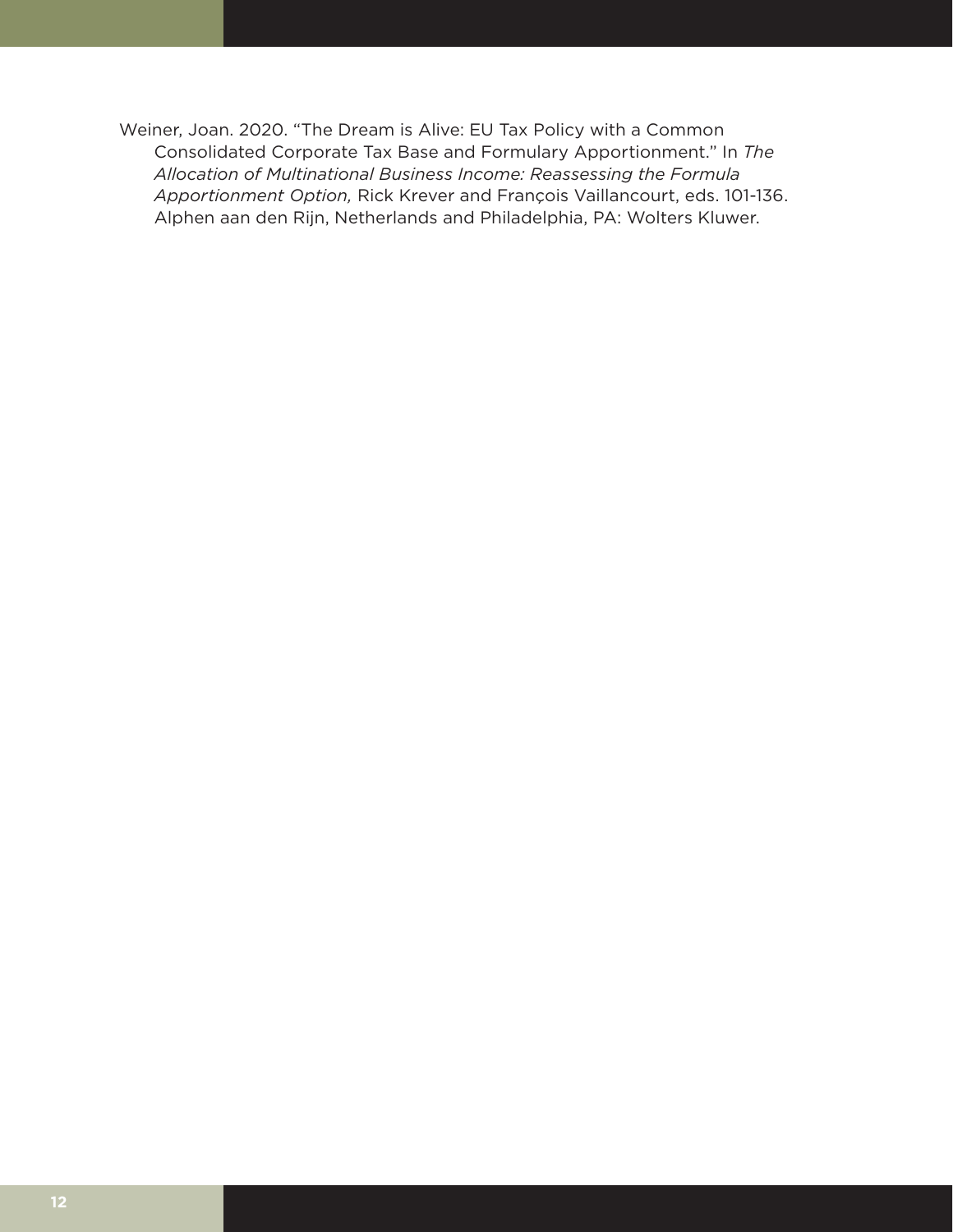Weiner, Joan. 2020. "The Dream is Alive: EU Tax Policy with a Common Consolidated Corporate Tax Base and Formulary Apportionment." In *The Allocation of Multinational Business Income: Reassessing the Formula Apportionment Option,* Rick Krever and François Vaillancourt, eds. 101-136. Alphen aan den Rijn, Netherlands and Philadelphia, PA: Wolters Kluwer.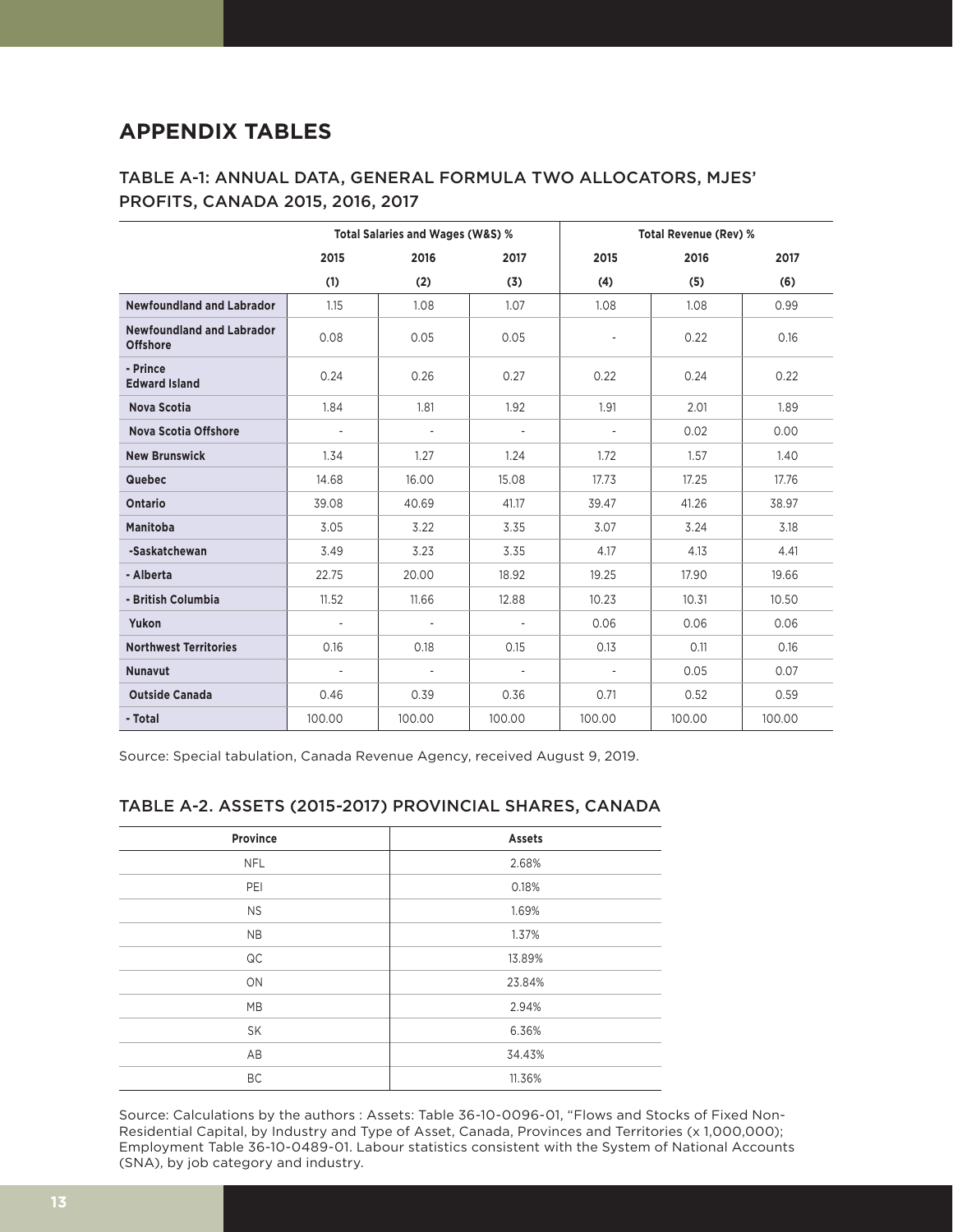## **APPENDIX TABLES**

### TABLE A-1: ANNUAL DATA, GENERAL FORMULA TWO ALLOCATORS, MJES' PROFITS, CANADA 2015, 2016, 2017

|                                                     | Total Salaries and Wages (W&S) % |                          |                          | <b>Total Revenue (Rev) %</b> |        |        |
|-----------------------------------------------------|----------------------------------|--------------------------|--------------------------|------------------------------|--------|--------|
|                                                     | 2015                             | 2016                     | 2017                     | 2015                         | 2016   | 2017   |
|                                                     | (1)                              | (2)                      | (3)                      | (4)                          | (5)    | (6)    |
| <b>Newfoundland and Labrador</b>                    | 1.15                             | 1.08                     | 1.07                     | 1.08                         | 1.08   | 0.99   |
| <b>Newfoundland and Labrador</b><br><b>Offshore</b> | 0.08                             | 0.05                     | 0.05                     | $\blacksquare$               | 0.22   | 0.16   |
| - Prince<br><b>Edward Island</b>                    | 0.24                             | 0.26                     | 0.27                     | 0.22                         | 0.24   | 0.22   |
| <b>Nova Scotia</b>                                  | 1.84                             | 1.81                     | 1.92                     | 1.91                         | 2.01   | 1.89   |
| <b>Nova Scotia Offshore</b>                         | $\overline{\phantom{a}}$         | $\overline{a}$           | $\overline{\phantom{a}}$ | $\overline{\phantom{a}}$     | 0.02   | 0.00   |
| <b>New Brunswick</b>                                | 1.34                             | 1.27                     | 1.24                     | 1.72                         | 1.57   | 1.40   |
| <b>Quebec</b>                                       | 14.68                            | 16.00                    | 15.08                    | 17.73                        | 17.25  | 17.76  |
| Ontario                                             | 39.08                            | 40.69                    | 41.17                    | 39.47                        | 41.26  | 38.97  |
| Manitoba                                            | 3.05                             | 3.22                     | 3.35                     | 3.07                         | 3.24   | 3.18   |
| -Saskatchewan                                       | 3.49                             | 3.23                     | 3.35                     | 4.17                         | 4.13   | 4.41   |
| - Alberta                                           | 22.75                            | 20.00                    | 18.92                    | 19.25                        | 17.90  | 19.66  |
| - British Columbia                                  | 11.52                            | 11.66                    | 12.88                    | 10.23                        | 10.31  | 10.50  |
| Yukon                                               | $\overline{\phantom{a}}$         | $\overline{\phantom{a}}$ | $\overline{\phantom{a}}$ | 0.06                         | 0.06   | 0.06   |
| <b>Northwest Territories</b>                        | 0.16                             | 0.18                     | 0.15                     | 0.13                         | 0.11   | 0.16   |
| <b>Nunavut</b>                                      | $\overline{\phantom{a}}$         | $\overline{\phantom{a}}$ | $\overline{\phantom{a}}$ | $\overline{\phantom{a}}$     | 0.05   | 0.07   |
| <b>Outside Canada</b>                               | 0.46                             | 0.39                     | 0.36                     | 0.71                         | 0.52   | 0.59   |
| - Total                                             | 100.00                           | 100.00                   | 100.00                   | 100.00                       | 100.00 | 100.00 |

Source: Special tabulation, Canada Revenue Agency, received August 9, 2019.

#### TABLE A-2. ASSETS (2015-2017) PROVINCIAL SHARES, CANADA

| Province   | Assets |
|------------|--------|
| <b>NFL</b> | 2.68%  |
| PEI        | 0.18%  |
| <b>NS</b>  | 1.69%  |
| <b>NB</b>  | 1.37%  |
| QC         | 13.89% |
| ON         | 23.84% |
| MB         | 2.94%  |
| SK         | 6.36%  |
| AB         | 34.43% |
| BC         | 11.36% |

Source: Calculations by the authors : Assets: Table 36-10-0096-01, "Flows and Stocks of Fixed Non-Residential Capital, by Industry and Type of Asset, Canada, Provinces and Territories (x 1,000,000); Employment Table 36-10-0489-01. Labour statistics consistent with the System of National Accounts (SNA), by job category and industry.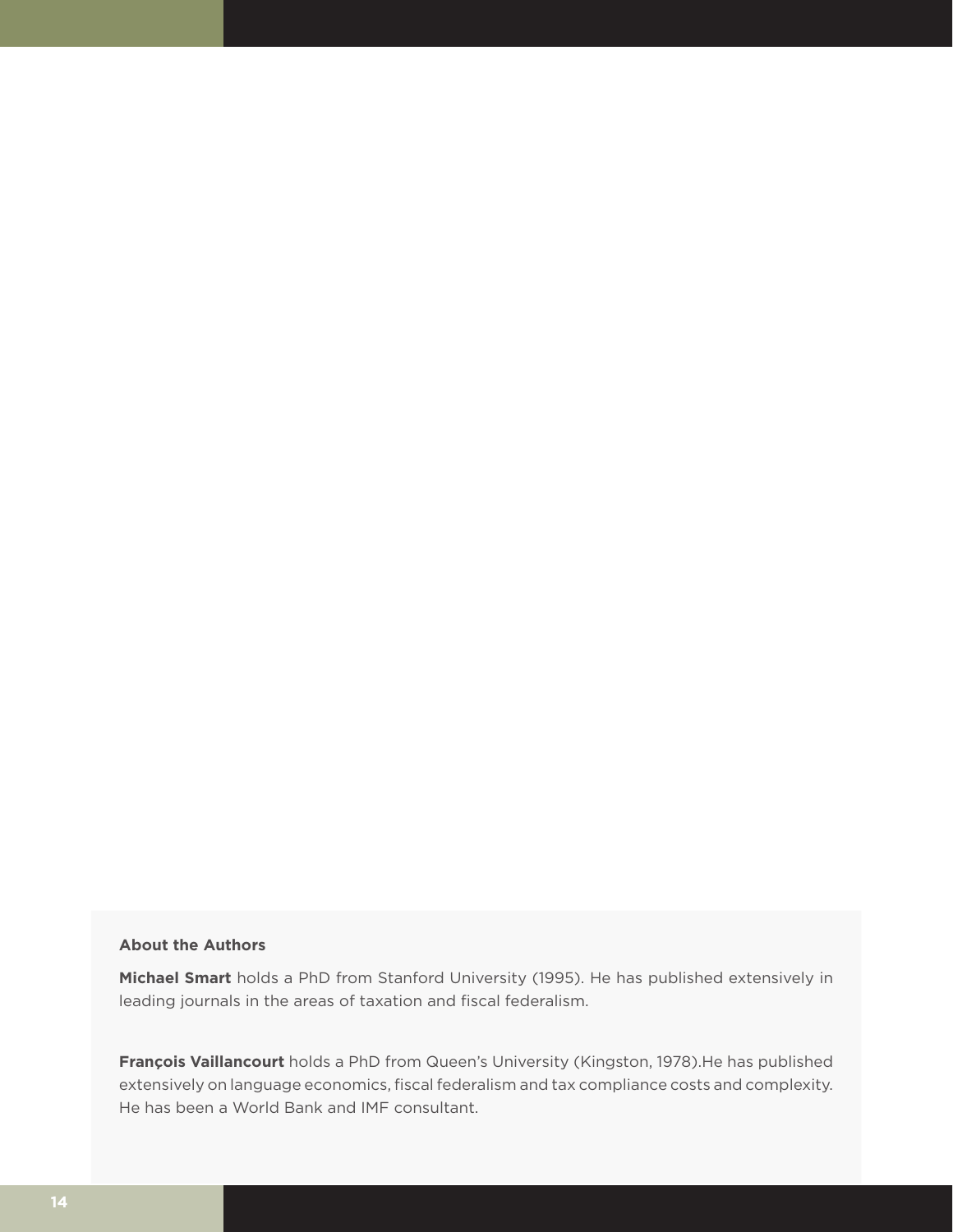#### **About the Authors**

**Michael Smart** holds a PhD from Stanford University (1995). He has published extensively in leading journals in the areas of taxation and fiscal federalism.

**François Vaillancourt** holds a PhD from Queen's University (Kingston, 1978).He has published extensively on language economics, fiscal federalism and tax compliance costs and complexity. He has been a World Bank and IMF consultant.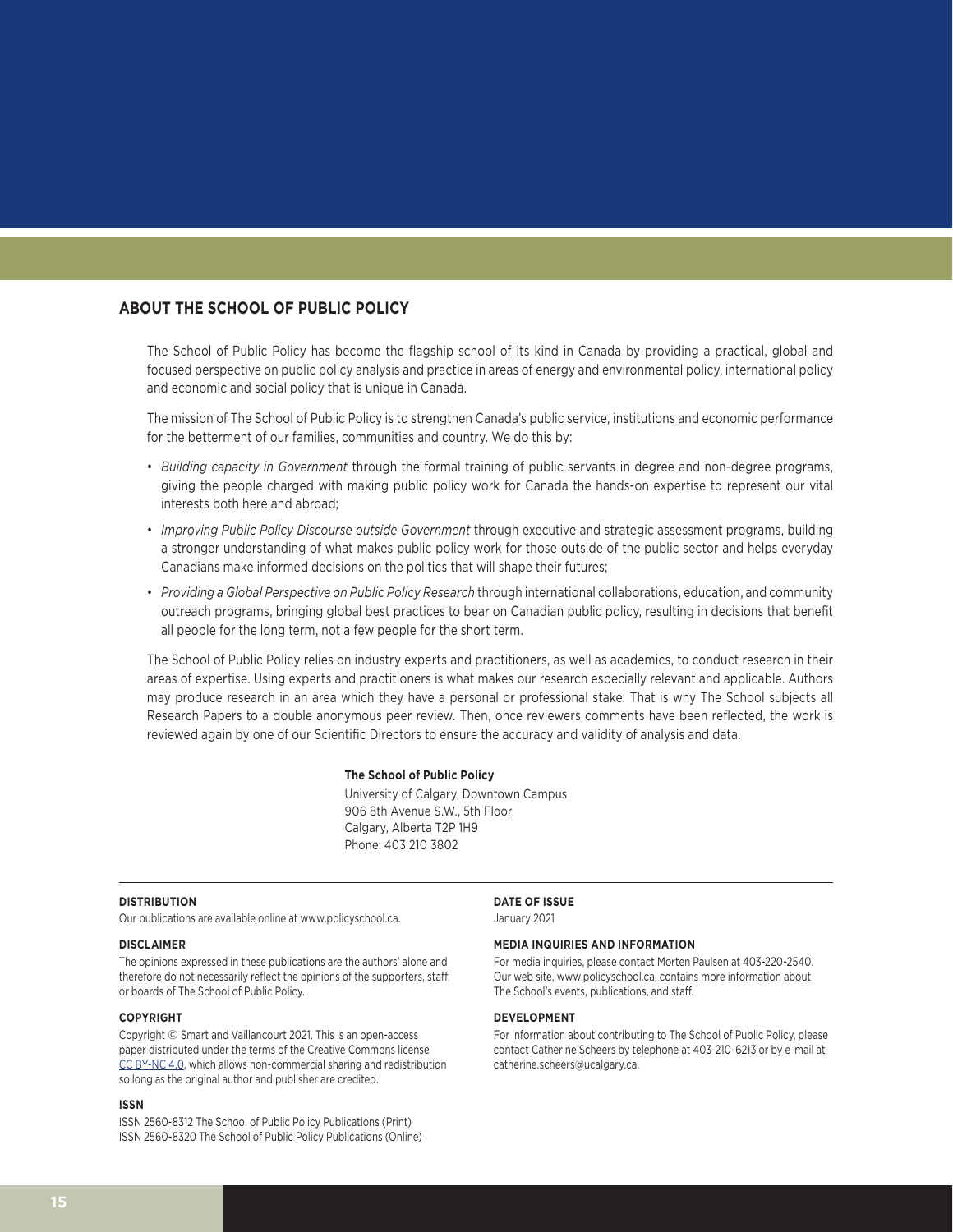#### **ABOUT THE SCHOOL OF PUBLIC POLICY**

The School of Public Policy has become the flagship school of its kind in Canada by providing a practical, global and focused perspective on public policy analysis and practice in areas of energy and environmental policy, international policy and economic and social policy that is unique in Canada.

The mission of The School of Public Policy is to strengthen Canada's public service, institutions and economic performance for the betterment of our families, communities and country. We do this by:

- *Building capacity in Government* through the formal training of public servants in degree and non-degree programs, giving the people charged with making public policy work for Canada the hands-on expertise to represent our vital interests both here and abroad;
- *Improving Public Policy Discourse outside Government* through executive and strategic assessment programs, building a stronger understanding of what makes public policy work for those outside of the public sector and helps everyday Canadians make informed decisions on the politics that will shape their futures;
- *Providing a Global Perspective on Public Policy Research* through international collaborations, education, and community outreach programs, bringing global best practices to bear on Canadian public policy, resulting in decisions that benefit all people for the long term, not a few people for the short term.

The School of Public Policy relies on industry experts and practitioners, as well as academics, to conduct research in their areas of expertise. Using experts and practitioners is what makes our research especially relevant and applicable. Authors may produce research in an area which they have a personal or professional stake. That is why The School subjects all Research Papers to a double anonymous peer review. Then, once reviewers comments have been reflected, the work is reviewed again by one of our Scientific Directors to ensure the accuracy and validity of analysis and data.

#### **The School of Public Policy**

University of Calgary, Downtown Campus 906 8th Avenue S.W., 5th Floor Calgary, Alberta T2P 1H9 Phone: 403 210 3802

#### **DISTRIBUTION**

Our publications are available online at www.policyschool.ca.

#### **DISCLAIMER**

The opinions expressed in these publications are the authors' alone and therefore do not necessarily reflect the opinions of the supporters, staff, or boards of The School of Public Policy.

#### **COPYRIGHT**

Copyright © Smart and Vaillancourt 2021. This is an open-access paper distributed under the terms of the Creative Commons license [CC BY-NC 4.0](https://creativecommons.org/licenses/by-nc/4.0/), which allows non-commercial sharing and redistribution so long as the original author and publisher are credited.

#### **ISSN**

ISSN 2560-8312 The School of Public Policy Publications (Print) ISSN 2560-8320 The School of Public Policy Publications (Online) **DATE OF ISSUE** January 2021

#### **MEDIA INQUIRIES AND INFORMATION**

For media inquiries, please contact Morten Paulsen at 403-220-2540. Our web site, www.policyschool.ca, contains more information about The School's events, publications, and staff.

#### **DEVELOPMENT**

For information about contributing to The School of Public Policy, please contact Catherine Scheers by telephone at 403-210-6213 or by e-mail at catherine.scheers@ucalgary.ca.